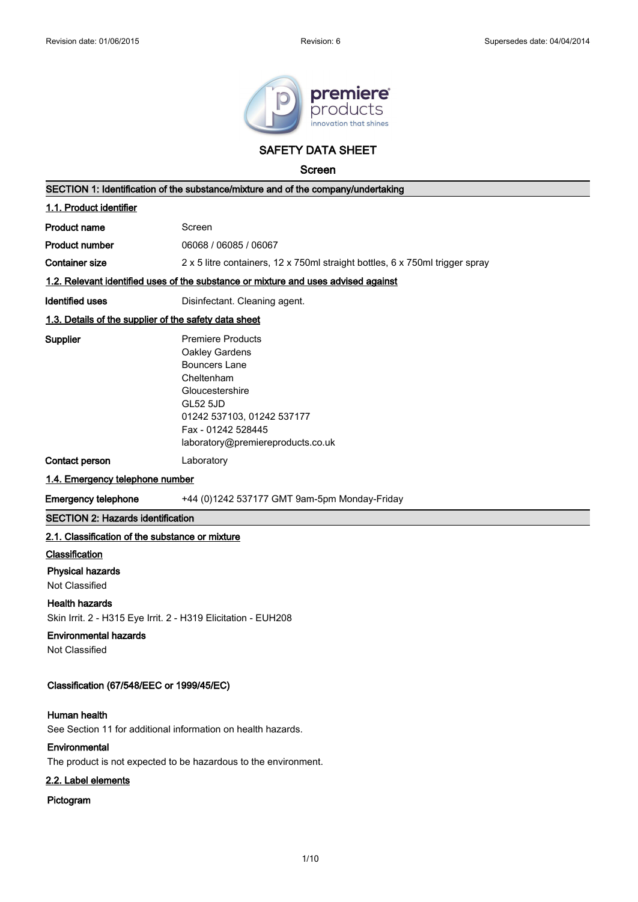

### **SAFETY DATA SHEET**

**Screen**

|                                                                                                                        | SECTION 1: Identification of the substance/mixture and of the company/undertaking                                                                                                                               |  |
|------------------------------------------------------------------------------------------------------------------------|-----------------------------------------------------------------------------------------------------------------------------------------------------------------------------------------------------------------|--|
| 1.1. Product identifier                                                                                                |                                                                                                                                                                                                                 |  |
| <b>Product name</b>                                                                                                    | Screen                                                                                                                                                                                                          |  |
| <b>Product number</b>                                                                                                  | 06068 / 06085 / 06067                                                                                                                                                                                           |  |
| <b>Container size</b>                                                                                                  | 2 x 5 litre containers, 12 x 750ml straight bottles, 6 x 750ml trigger spray                                                                                                                                    |  |
|                                                                                                                        | 1.2. Relevant identified uses of the substance or mixture and uses advised against                                                                                                                              |  |
| <b>Identified uses</b>                                                                                                 | Disinfectant. Cleaning agent.                                                                                                                                                                                   |  |
| 1.3. Details of the supplier of the safety data sheet                                                                  |                                                                                                                                                                                                                 |  |
| Supplier                                                                                                               | <b>Premiere Products</b><br>Oakley Gardens<br><b>Bouncers Lane</b><br>Cheltenham<br>Gloucestershire<br><b>GL52 5JD</b><br>01242 537103, 01242 537177<br>Fax - 01242 528445<br>laboratory@premiereproducts.co.uk |  |
| Contact person                                                                                                         | Laboratory                                                                                                                                                                                                      |  |
| 1.4. Emergency telephone number                                                                                        |                                                                                                                                                                                                                 |  |
| <b>Emergency telephone</b>                                                                                             | +44 (0)1242 537177 GMT 9am-5pm Monday-Friday                                                                                                                                                                    |  |
| <b>SECTION 2: Hazards identification</b>                                                                               |                                                                                                                                                                                                                 |  |
| 2.1. Classification of the substance or mixture                                                                        |                                                                                                                                                                                                                 |  |
| Classification<br><b>Physical hazards</b><br>Not Classified                                                            |                                                                                                                                                                                                                 |  |
| <b>Health hazards</b><br>Skin Irrit. 2 - H315 Eye Irrit. 2 - H319 Elicitation - EUH208<br><b>Environmental hazards</b> |                                                                                                                                                                                                                 |  |
| Not Classified<br>Classification (67/548/EEC or 1999/45/EC)                                                            |                                                                                                                                                                                                                 |  |
| Human health<br>Environmental                                                                                          | See Section 11 for additional information on health hazards.<br>The product is not expected to be hazardous to the environment.                                                                                 |  |
| 2.2. Label elements                                                                                                    |                                                                                                                                                                                                                 |  |

### **Pictogram**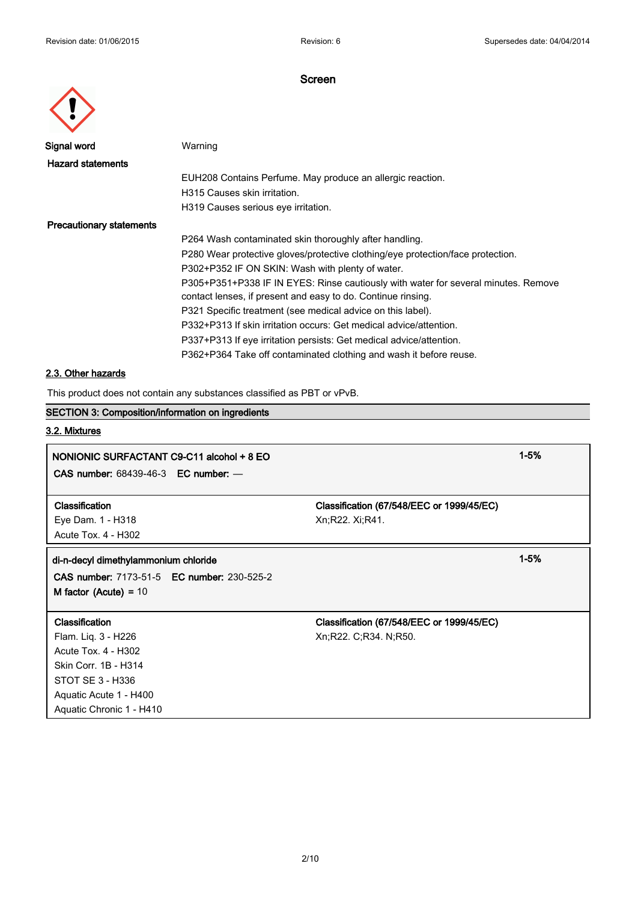| Signal word    |
|----------------|
| Hazard stateme |
|                |
|                |

**Warning** 

| Hazard statements        |                                                                                    |
|--------------------------|------------------------------------------------------------------------------------|
|                          | EUH208 Contains Perfume. May produce an allergic reaction.                         |
|                          | H315 Causes skin irritation.                                                       |
|                          | H319 Causes serious eye irritation.                                                |
| Precautionary statements |                                                                                    |
|                          | P264 Wash contaminated skin thoroughly after handling.                             |
|                          | P280 Wear protective gloves/protective clothing/eye protection/face protection.    |
|                          | P302+P352 IF ON SKIN: Wash with plenty of water.                                   |
|                          | P305+P351+P338 IF IN EYES: Rinse cautiously with water for several minutes. Remove |
|                          | contact lenses, if present and easy to do. Continue rinsing.                       |
|                          | P321 Specific treatment (see medical advice on this label).                        |
|                          | P332+P313 If skin irritation occurs: Get medical advice/attention.                 |
|                          | P337+P313 If eye irritation persists: Get medical advice/attention.                |
|                          | P362+P364 Take off contaminated clothing and wash it before reuse.                 |
|                          |                                                                                    |

### **2.3. Other hazards**

This product does not contain any substances classified as PBT or vPvB.

### **SECTION 3: Composition/information on ingredients**

### **3.2. Mixtures**

### **NONIONIC SURFACTANT C9-C11 alcohol + 8 EO 1-5%**

**CAS number:** 68439-46-3 **EC number:** —

# Eye Dam. 1 - H318 Xn;R22. Xi;R41.

Acute Tox. 4 - H302

### **di-n-decyl dimethylammonium chloride 1-5%**

**CAS number:** 7173-51-5 **EC number:** 230-525-2 **M factor (Acute) =** 10

Flam. Liq. 3 - H226 Xn;R22. C;R34. N;R50. Acute Tox. 4 - H302 Skin Corr. 1B - H314 STOT SE 3 - H336 Aquatic Acute 1 - H400 Aquatic Chronic 1 - H410

**Classification Classification (67/548/EEC or 1999/45/EC)**

## **Classification Classification (67/548/EEC or 1999/45/EC)**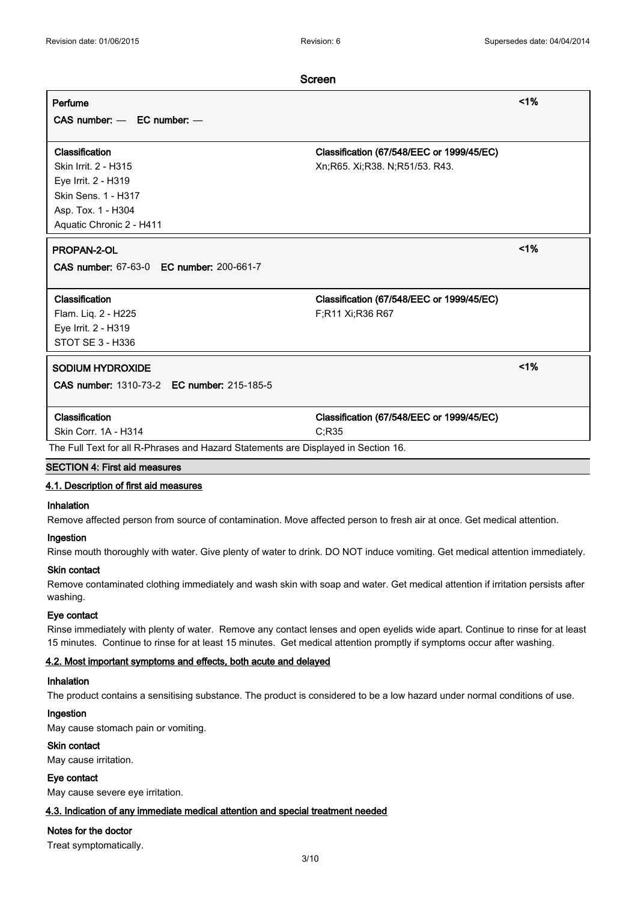## **Screen Perfume <1% CAS number:** — **EC number:** — **Classification Classification (67/548/EEC or 1999/45/EC)** Skin Irrit. 2 - H315 **Xn**;R65. Xi;R38. N;R51/53. R43. Eye Irrit. 2 - H319 Skin Sens. 1 - H317 Asp. Tox. 1 - H304 Aquatic Chronic 2 - H411 **PROPAN-2-OL <1% CAS number:** 67-63-0 **EC number:** 200-661-7 **Classification Classification (67/548/EEC or 1999/45/EC)** Flam. Liq. 2 - H225 F;R11 Xi;R36 R67 Eye Irrit. 2 - H319 STOT SE 3 - H336 **SODIUM HYDROXIDE <1% CAS number:** 1310-73-2 **EC number:** 215-185-5 **Classification Classification (67/548/EEC or 1999/45/EC)** Skin Corr. 1A - H314 C;R35 The Full Text for all R-Phrases and Hazard Statements are Displayed in Section 16.

### **SECTION 4: First aid measures**

### **4.1. Description of first aid measures**

### **Inhalation**

Remove affected person from source of contamination. Move affected person to fresh air at once. Get medical attention.

#### **Ingestion**

Rinse mouth thoroughly with water. Give plenty of water to drink. DO NOT induce vomiting. Get medical attention immediately.

#### **Skin contact**

Remove contaminated clothing immediately and wash skin with soap and water. Get medical attention if irritation persists after washing.

### **Eye contact**

Rinse immediately with plenty of water. Remove any contact lenses and open eyelids wide apart. Continue to rinse for at least 15 minutes. Continue to rinse for at least 15 minutes. Get medical attention promptly if symptoms occur after washing.

### **4.2. Most important symptoms and effects, both acute and delayed**

### **Inhalation**

The product contains a sensitising substance. The product is considered to be a low hazard under normal conditions of use.

### **Ingestion**

May cause stomach pain or vomiting.

### **Skin contact**

May cause irritation.

#### **Eye contact**

May cause severe eye irritation.

### **4.3. Indication of any immediate medical attention and special treatment needed**

### **Notes for the doctor**

Treat symptomatically.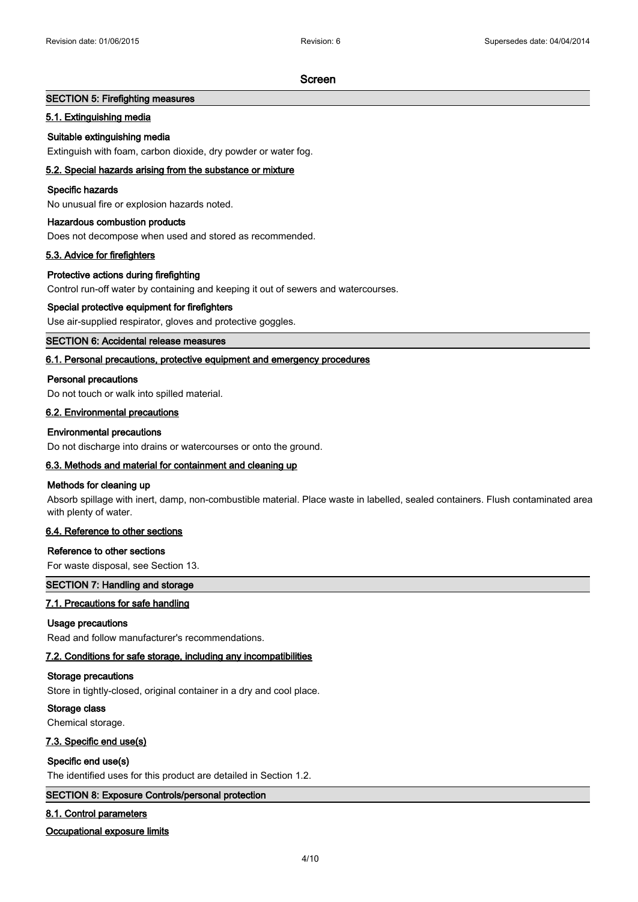### **SECTION 5: Firefighting measures**

### **5.1. Extinguishing media**

### **Suitable extinguishing media**

Extinguish with foam, carbon dioxide, dry powder or water fog.

### **5.2. Special hazards arising from the substance or mixture**

### **Specific hazards**

No unusual fire or explosion hazards noted.

### **Hazardous combustion products**

Does not decompose when used and stored as recommended.

### **5.3. Advice for firefighters**

### **Protective actions during firefighting**

Control run-off water by containing and keeping it out of sewers and watercourses.

### **Special protective equipment for firefighters**

Use air-supplied respirator, gloves and protective goggles.

### **SECTION 6: Accidental release measures**

### **6.1. Personal precautions, protective equipment and emergency procedures**

### **Personal precautions**

Do not touch or walk into spilled material.

### **6.2. Environmental precautions**

### **Environmental precautions**

Do not discharge into drains or watercourses or onto the ground.

### **6.3. Methods and material for containment and cleaning up**

### **Methods for cleaning up**

Absorb spillage with inert, damp, non-combustible material. Place waste in labelled, sealed containers. Flush contaminated area with plenty of water.

### **6.4. Reference to other sections**

### **Reference to other sections**

For waste disposal, see Section 13.

### **SECTION 7: Handling and storage**

### **7.1. Precautions for safe handling**

### **Usage precautions**

Read and follow manufacturer's recommendations.

### **7.2. Conditions for safe storage, including any incompatibilities**

### **Storage precautions**

Store in tightly-closed, original container in a dry and cool place.

### **Storage class**

Chemical storage.

### **7.3. Specific end use(s)**

### **Specific end use(s)**

The identified uses for this product are detailed in Section 1.2.

### **SECTION 8: Exposure Controls/personal protection**

### **8.1. Control parameters**

### **Occupational exposure limits**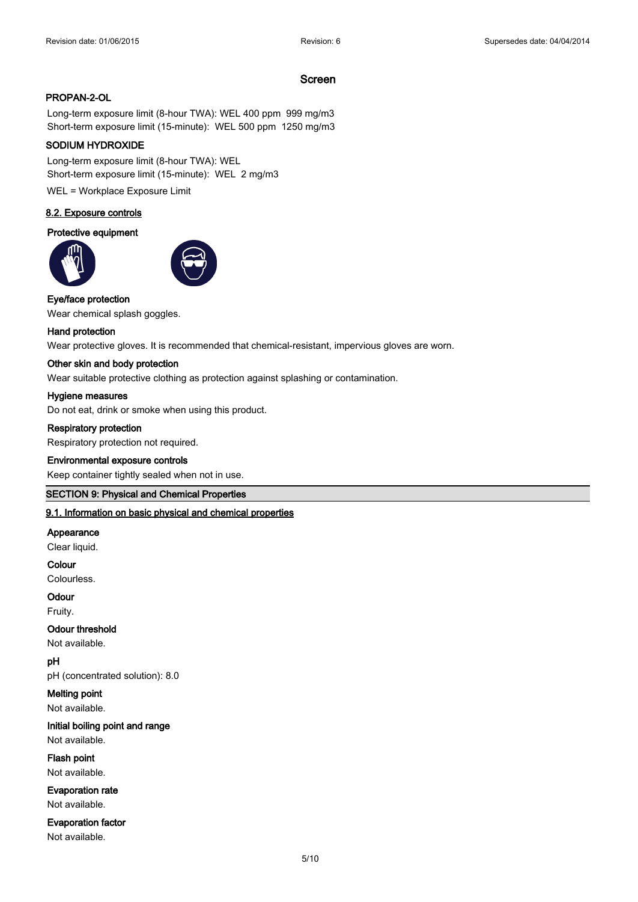### **PROPAN-2-OL**

Long-term exposure limit (8-hour TWA): WEL 400 ppm 999 mg/m3 Short-term exposure limit (15-minute): WEL 500 ppm 1250 mg/m3

### **SODIUM HYDROXIDE**

Long-term exposure limit (8-hour TWA): WEL Short-term exposure limit (15-minute): WEL 2 mg/m3

WEL = Workplace Exposure Limit

### **8.2. Exposure controls**

### **Protective equipment**





### **Eye/face protection**

Wear chemical splash goggles.

### **Hand protection**

Wear protective gloves. It is recommended that chemical-resistant, impervious gloves are worn.

#### **Other skin and body protection**

Wear suitable protective clothing as protection against splashing or contamination.

#### **Hygiene measures**

Do not eat, drink or smoke when using this product.

### **Respiratory protection**

Respiratory protection not required.

### **Environmental exposure controls**

Keep container tightly sealed when not in use.

### **SECTION 9: Physical and Chemical Properties**

### **9.1. Information on basic physical and chemical properties**

#### **Appearance**

Clear liquid.

### **Colour**

Colourless.

### **Odour**

Fruity.

### **Odour threshold**

Not available.

### **pH**

pH (concentrated solution): 8.0

### **Melting point**

Not available.

### **Initial boiling point and range** Not available.

**Flash point** Not available.

### **Evaporation rate** Not available.

### **Evaporation factor**

Not available.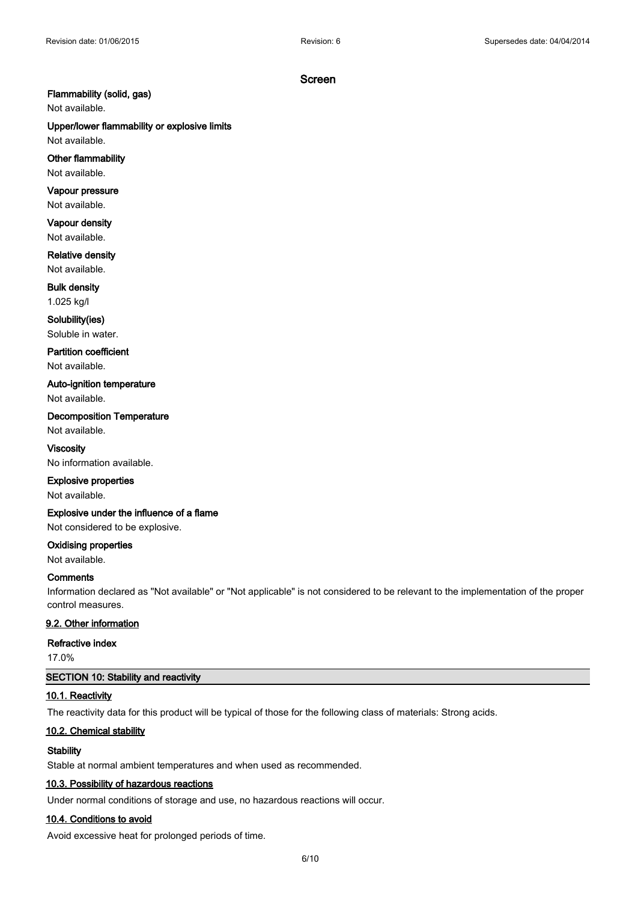### **Flammability (solid, gas)**

Not available.

## **Upper/lower flammability or explosive limits**

Not available.

### **Other flammability**

Not available.

### **Vapour pressure**

Not available.

### **Vapour density** Not available.

**Relative density**

Not available.

## **Bulk density**

1.025 kg/l **Solubility(ies)**

## Soluble in water.

**Partition coefficient**

Not available.

### **Auto-ignition temperature**

Not available.

### **Decomposition Temperature**

Not available. **Viscosity**

### No information available.

### **Explosive properties**

Not available.

### **Explosive under the influence of a flame**

Not considered to be explosive.

### **Oxidising properties**

Not available.

### **Comments**

Information declared as "Not available" or "Not applicable" is not considered to be relevant to the implementation of the proper control measures.

### **9.2. Other information**

### **Refractive index**

17.0%

### **SECTION 10: Stability and reactivity**

### **10.1. Reactivity**

The reactivity data for this product will be typical of those for the following class of materials: Strong acids.

### **10.2. Chemical stability**

### **Stability**

Stable at normal ambient temperatures and when used as recommended.

### **10.3. Possibility of hazardous reactions**

Under normal conditions of storage and use, no hazardous reactions will occur.

### **10.4. Conditions to avoid**

Avoid excessive heat for prolonged periods of time.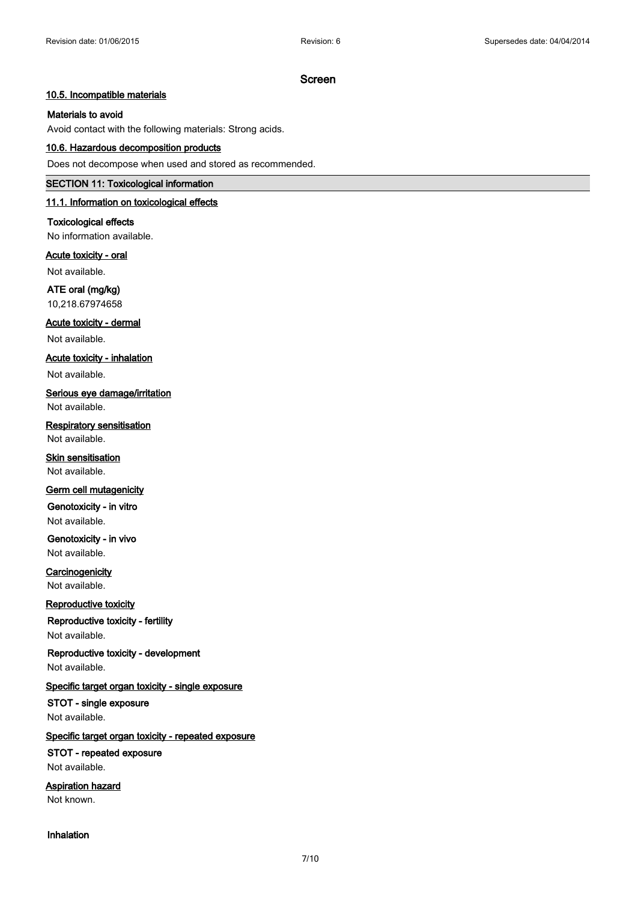### **10.5. Incompatible materials**

### **Materials to avoid**

Avoid contact with the following materials: Strong acids.

### **10.6. Hazardous decomposition products**

Does not decompose when used and stored as recommended.

#### **SECTION 11: Toxicological information**

### **11.1. Information on toxicological effects**

**Toxicological effects** No information available.

**Acute toxicity - oral**

Not available.

**ATE oral (mg/kg)** 10,218.67974658

**Acute toxicity - dermal**

Not available.

**Acute toxicity - inhalation**

Not available.

**Serious eye damage/irritation** Not available.

**Respiratory sensitisation** Not available.

**Skin sensitisation** Not available.

### **Germ cell mutagenicity**

**Genotoxicity - in vitro** Not available.

**Genotoxicity - in vivo** Not available.

**Carcinogenicity** Not available.

### **Reproductive toxicity**

**Reproductive toxicity - fertility**

Not available.

**Reproductive toxicity - development** Not available.

**Specific target organ toxicity - single exposure**

**STOT - single exposure** Not available.

### **Specific target organ toxicity - repeated exposure**

**STOT - repeated exposure** Not available.

**Aspiration hazard** Not known.

**Inhalation**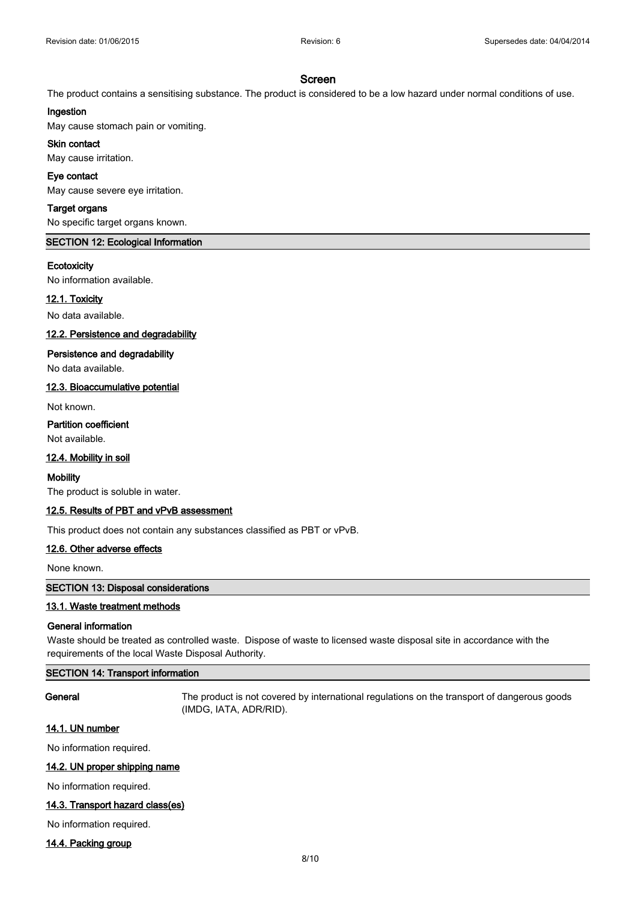The product contains a sensitising substance. The product is considered to be a low hazard under normal conditions of use.

### **Ingestion**

May cause stomach pain or vomiting.

## **Skin contact**

May cause irritation.

### **Eye contact**

May cause severe eye irritation.

### **Target organs**

No specific target organs known.

### **SECTION 12: Ecological Information**

### **Ecotoxicity**

No information available.

### **12.1. Toxicity**

No data available.

### **12.2. Persistence and degradability**

### **Persistence and degradability**

No data available.

### **12.3. Bioaccumulative potential**

Not known.

### **Partition coefficient**

Not available.

### **12.4. Mobility in soil**

#### **Mobility**

The product is soluble in water.

### **12.5. Results of PBT and vPvB assessment**

This product does not contain any substances classified as PBT or vPvB.

### **12.6. Other adverse effects**

None known.

### **SECTION 13: Disposal considerations**

### **13.1. Waste treatment methods**

### **General information**

Waste should be treated as controlled waste. Dispose of waste to licensed waste disposal site in accordance with the requirements of the local Waste Disposal Authority.

### **SECTION 14: Transport information**

**General** The product is not covered by international regulations on the transport of dangerous goods (IMDG, IATA, ADR/RID).

### **14.1. UN number**

No information required.

### **14.2. UN proper shipping name**

No information required.

### **14.3. Transport hazard class(es)**

No information required.

### **14.4. Packing group**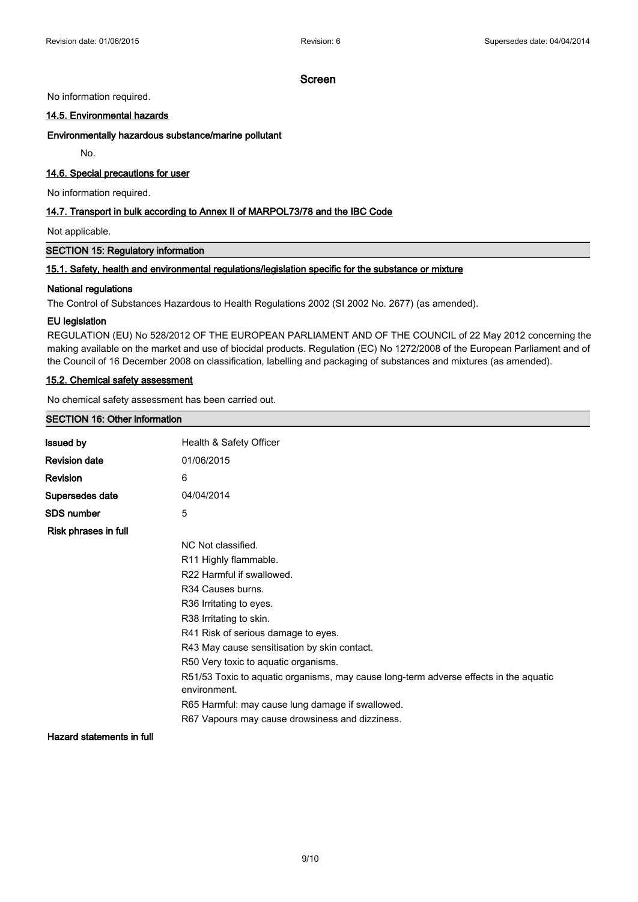#### No information required.

### **14.5. Environmental hazards**

#### **Environmentally hazardous substance/marine pollutant**

No.

### **14.6. Special precautions for user**

No information required.

### **14.7. Transport in bulk according to Annex II of MARPOL73/78 and the IBC Code**

Not applicable.

### **SECTION 15: Regulatory information**

### **15.1. Safety, health and environmental regulations/legislation specific for the substance or mixture**

#### **National regulations**

The Control of Substances Hazardous to Health Regulations 2002 (SI 2002 No. 2677) (as amended).

### **EU legislation**

REGULATION (EU) No 528/2012 OF THE EUROPEAN PARLIAMENT AND OF THE COUNCIL of 22 May 2012 concerning the making available on the market and use of biocidal products. Regulation (EC) No 1272/2008 of the European Parliament and of the Council of 16 December 2008 on classification, labelling and packaging of substances and mixtures (as amended).

### **15.2. Chemical safety assessment**

No chemical safety assessment has been carried out.

### **SECTION 16: Other information**

| <b>Issued by</b>     | Health & Safety Officer                                                                               |
|----------------------|-------------------------------------------------------------------------------------------------------|
| Revision date        | 01/06/2015                                                                                            |
| Revision             | 6                                                                                                     |
| Supersedes date      | 04/04/2014                                                                                            |
| SDS number           | 5                                                                                                     |
| Risk phrases in full |                                                                                                       |
|                      | NC Not classified.                                                                                    |
|                      | R <sub>11</sub> Highly flammable.                                                                     |
|                      | R22 Harmful if swallowed.                                                                             |
|                      | R34 Causes burns.                                                                                     |
|                      | R36 Irritating to eyes.                                                                               |
|                      | R38 Irritating to skin.                                                                               |
|                      | R41 Risk of serious damage to eyes.                                                                   |
|                      | R43 May cause sensitisation by skin contact.                                                          |
|                      | R50 Very toxic to aquatic organisms.                                                                  |
|                      | R51/53 Toxic to aquatic organisms, may cause long-term adverse effects in the aquatic<br>environment. |
|                      | R65 Harmful: may cause lung damage if swallowed.                                                      |
|                      | R67 Vapours may cause drowsiness and dizziness.                                                       |
|                      |                                                                                                       |

**Hazard statements in full**